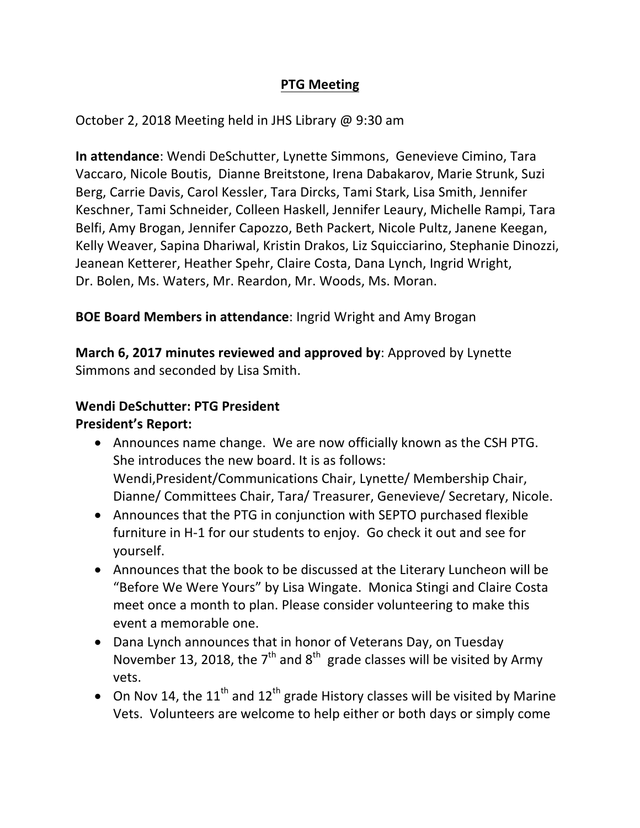# **PTG Meeting**

October 2, 2018 Meeting held in JHS Library @ 9:30 am

**In attendance:** Wendi DeSchutter, Lynette Simmons, Genevieve Cimino, Tara Vaccaro, Nicole Boutis, Dianne Breitstone, Irena Dabakarov, Marie Strunk, Suzi Berg, Carrie Davis, Carol Kessler, Tara Dircks, Tami Stark, Lisa Smith, Jennifer Keschner, Tami Schneider, Colleen Haskell, Jennifer Leaury, Michelle Rampi, Tara Belfi, Amy Brogan, Jennifer Capozzo, Beth Packert, Nicole Pultz, Janene Keegan, Kelly Weaver, Sapina Dhariwal, Kristin Drakos, Liz Squicciarino, Stephanie Dinozzi, Jeanean Ketterer, Heather Spehr, Claire Costa, Dana Lynch, Ingrid Wright, Dr. Bolen, Ms. Waters, Mr. Reardon, Mr. Woods, Ms. Moran.

# **BOE Board Members in attendance:** Ingrid Wright and Amy Brogan

**March 6, 2017 minutes reviewed and approved by:** Approved by Lynette Simmons and seconded by Lisa Smith.

## **Wendi DeSchutter: PTG President**

**President's Report:**

- Announces name change. We are now officially known as the CSH PTG. She introduces the new board. It is as follows: Wendi, President/Communications Chair, Lynette/ Membership Chair, Dianne/ Committees Chair, Tara/ Treasurer, Genevieve/ Secretary, Nicole.
- Announces that the PTG in conjunction with SEPTO purchased flexible furniture in H-1 for our students to enjoy. Go check it out and see for yourself.
- Announces that the book to be discussed at the Literary Luncheon will be "Before We Were Yours" by Lisa Wingate. Monica Stingi and Claire Costa meet once a month to plan. Please consider volunteering to make this event a memorable one.
- Dana Lynch announces that in honor of Veterans Day, on Tuesday November 13, 2018, the 7<sup>th</sup> and 8<sup>th</sup> grade classes will be visited by Army vets.
- On Nov 14, the  $11^{th}$  and  $12^{th}$  grade History classes will be visited by Marine Vets. Volunteers are welcome to help either or both days or simply come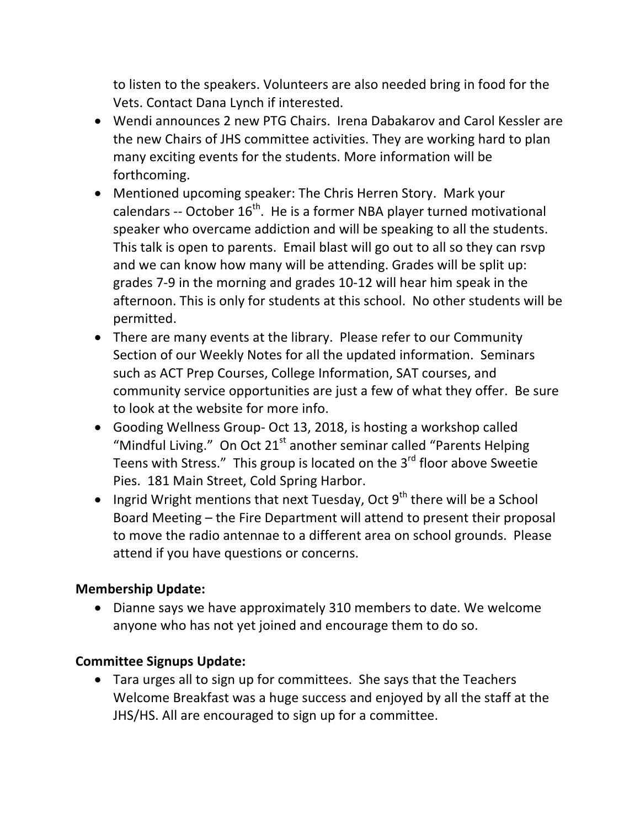to listen to the speakers. Volunteers are also needed bring in food for the Vets. Contact Dana Lynch if interested.

- Wendi announces 2 new PTG Chairs. Irena Dabakarov and Carol Kessler are the new Chairs of JHS committee activities. They are working hard to plan many exciting events for the students. More information will be forthcoming.
- Mentioned upcoming speaker: The Chris Herren Story. Mark your calendars -- October  $16^{th}$ . He is a former NBA player turned motivational speaker who overcame addiction and will be speaking to all the students. This talk is open to parents. Email blast will go out to all so they can rsvp and we can know how many will be attending. Grades will be split up: grades 7-9 in the morning and grades 10-12 will hear him speak in the afternoon. This is only for students at this school. No other students will be permitted.
- There are many events at the library. Please refer to our Community Section of our Weekly Notes for all the updated information. Seminars such as ACT Prep Courses, College Information, SAT courses, and community service opportunities are just a few of what they offer. Be sure to look at the website for more info.
- Gooding Wellness Group- Oct 13, 2018, is hosting a workshop called "Mindful Living." On Oct  $21<sup>st</sup>$  another seminar called "Parents Helping Teens with Stress." This group is located on the  $3<sup>rd</sup>$  floor above Sweetie Pies. 181 Main Street, Cold Spring Harbor.
- Ingrid Wright mentions that next Tuesday, Oct  $9<sup>th</sup>$  there will be a School Board Meeting – the Fire Department will attend to present their proposal to move the radio antennae to a different area on school grounds. Please attend if you have questions or concerns.

### **Membership Update:**

• Dianne says we have approximately 310 members to date. We welcome anyone who has not yet joined and encourage them to do so.

# **Committee Signups Update:**

• Tara urges all to sign up for committees. She says that the Teachers Welcome Breakfast was a huge success and enjoyed by all the staff at the JHS/HS. All are encouraged to sign up for a committee.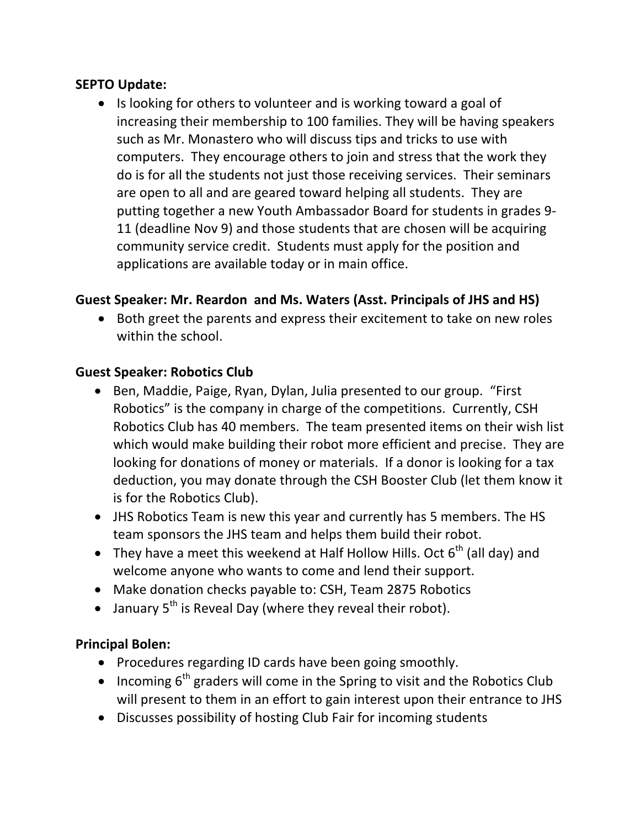### **SEPTO** Update:

• Is looking for others to volunteer and is working toward a goal of increasing their membership to 100 families. They will be having speakers such as Mr. Monastero who will discuss tips and tricks to use with computers. They encourage others to join and stress that the work they do is for all the students not just those receiving services. Their seminars are open to all and are geared toward helping all students. They are putting together a new Youth Ambassador Board for students in grades 9-11 (deadline Nov 9) and those students that are chosen will be acquiring community service credit. Students must apply for the position and applications are available today or in main office.

## Guest Speaker: Mr. Reardon and Ms. Waters (Asst. Principals of JHS and HS)

• Both greet the parents and express their excitement to take on new roles within the school.

### **Guest Speaker: Robotics Club**

- Ben, Maddie, Paige, Ryan, Dylan, Julia presented to our group. "First Robotics" is the company in charge of the competitions. Currently, CSH Robotics Club has 40 members. The team presented items on their wish list which would make building their robot more efficient and precise. They are looking for donations of money or materials. If a donor is looking for a tax deduction, you may donate through the CSH Booster Club (let them know it is for the Robotics Club).
- JHS Robotics Team is new this year and currently has 5 members. The HS team sponsors the JHS team and helps them build their robot.
- They have a meet this weekend at Half Hollow Hills. Oct  $6<sup>th</sup>$  (all day) and welcome anyone who wants to come and lend their support.
- Make donation checks payable to: CSH, Team 2875 Robotics
- January  $5^{th}$  is Reveal Day (where they reveal their robot).

### **Principal Bolen:**

- Procedures regarding ID cards have been going smoothly.
- Incoming  $6^{th}$  graders will come in the Spring to visit and the Robotics Club will present to them in an effort to gain interest upon their entrance to JHS
- Discusses possibility of hosting Club Fair for incoming students